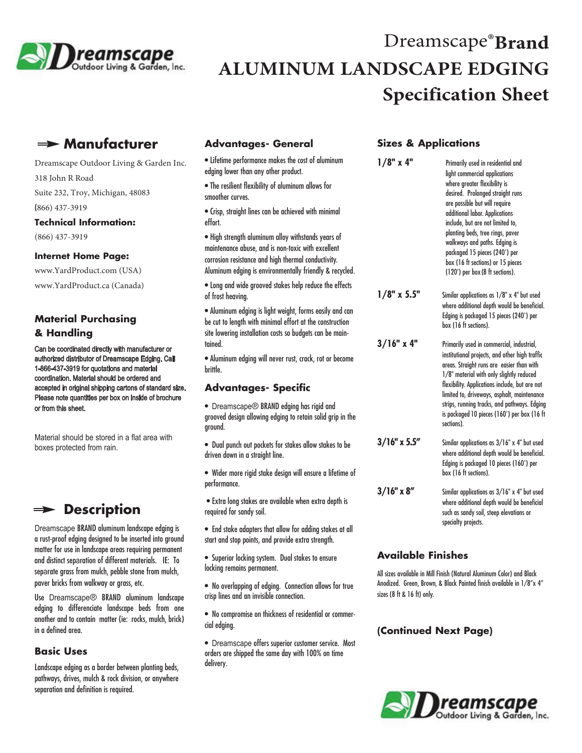

# Dreamscape<sup>®</sup>Brand **ALUMINUM LANDSCAPE EDGING Specification Sheet**

# **Manufacturer**

Dreamscape Outdoor Living & Garden Inc. 318 John R Road Suite 232, Troy, Michigan, 48083

(866) 437-3919

#### **Technical Information:**

(866) 437-3919

#### **Internet Home Page:**

www.YardProduct.com (USA) www.YardProduct.ca (Canada)

## **Material Purchasing & Handling**

Can be coordinated directly with manufacturer or authorized distributor of Dreamscape Edging. Call 1-866-437-3919 for quotations and material coordination. Material should be ordered and accepted in original shipping cartons of standard size. Please note quantities per box on inside of brochure or from this sheet.

Material should be stored in a flat area with boxes protected from rain.

# **Description**

Dreamscape BRAND aluminum landscape edging is a rust-proof edging designed to be inserted into ground matter for use in landscape areas requiring permanent and distinct separation of different materials. IE: To separate grass from mulch, pebble stone from mulch, paver bricks from walkway or grass, etc.

Use Dreamscape<sup>®</sup> BRAND aluminum landscape edging to differenciate landscape beds from one another and to contain matter (ie: rocks, mulch, brick) in a defined area.

#### **Basic Uses**

Landscape edging as a border between planting beds, pathways, drives, mulch & rock division, or anywhere separation and definition is required.

#### **Advantages- General**

• Lifetime performance makes the cost of aluminum edging lower than any other product.

• The resilient flexibility of aluminum allows for smoother curves.

• Crisp, straight lines can be achieved with minimal effort.

• High strength aluminum alloy withstands years of maintenance abuse, and is non-toxic with excellent corrosion resistance and high thermal conductivity. Aluminum edging is environmentally friendly & recycled.

• Long and wide grooved stakes help reduce the effects of frost heaving.

• Aluminum edging is light weight, forms easily and can be cut to length with minimal effort at the construction site lowering installation costs so budgets can be maintained.

• Aluminum edging will never rust, crack, rot or become brittle.

#### **Advantages- Specific**

- Dreamscape® BRAND edging has rigid and grooved design allowing edging to retain solid grip in the ground.
- Dual punch out pockets for stakes allow stakes to be driven down in a straight line.
- Wider more rigid stake design will ensure a lifetime of performance.
- Extra long stakes are available when extra depth is required for sandy soil.
- End stake adapters that allow for adding stakes at all start and stop points, and provide extra strength.
- Superior locking system. Dual stakes to ensure locking remains permanent.
- No overlapping of edging. Connection allows for true crisp lines and an invisible connection.
- No compromise on thickness of residential or commercial edging.
- Dreamscape offers superior customer service. Most orders are shipped the same day with 100% on time delivery.

#### **Sizes & Applications**

| $1/8"$ x 4"       | Primarily used in residential and<br>light commercial applications<br>where greater flexibility is<br>desired. Prolonged straight runs<br>are possible but will require<br>additional labor. Applications<br>include, but are not limited to,<br>planting beds, tree rings, paver<br>walkways and paths. Edging is<br>packaged 15 pieces (240') per<br>box (16 ft sections) or 15 pieces<br>(120') per box (8 ft sections). |  |
|-------------------|-----------------------------------------------------------------------------------------------------------------------------------------------------------------------------------------------------------------------------------------------------------------------------------------------------------------------------------------------------------------------------------------------------------------------------|--|
| $1/8"$ x 5.5"     | Similar applications as 1/8" x 4" but used<br>where additional depth would be beneficial.<br>Edging is packaged 15 pieces (240') per<br>box (16 ft sections).                                                                                                                                                                                                                                                               |  |
| $3/16"$ x 4"      | Primarily used in commercial, industrial,<br>institutional projects, and other high traffic<br>areas. Straight runs are easier than with<br>1/8" material with only slightly reduced<br>flexibility. Applications include, but are not<br>limited to, driveways, asphalt, maintenance<br>strips, running tracks, and pathways. Edging<br>is packaged 10 pieces (160') per box (16 ft<br>sections).                          |  |
| $3/16"$ x 5.5"    | Similar applications as 3/16" x 4" but used<br>where additional depth would be beneficial.<br>Edging is packaged 10 pieces (160') per<br>box (16 ft sections).                                                                                                                                                                                                                                                              |  |
| $3/16" \times 8"$ | Similar applications as 3/16" x 4" but used<br>where additional depth would be beneficial<br>such as sandy soil, steep elevations or<br>specialty projects.                                                                                                                                                                                                                                                                 |  |

## **Available Finishes**

All sizes available in Mill Finish (Natural Aluminum Color) and Black Anodized. Green, Brown, & Black Painted finish available in 1/8"x 4" sizes (8 ft & 16 ft) only.

#### **(Continued Next Page)**